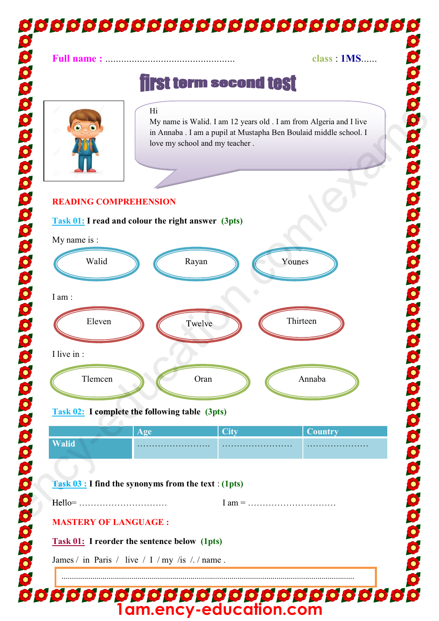## **00000000000000000000000000 Full name :** ................................................. **class** : **1MS**...... **first term second test** ency-education.com/exams **follo omplete** y-e **Example 11**<br>
Tank 03: I read and colour the right universe (3 - 1 and from Algeria nad Live in Amazon school and my teacher.<br>
Tank 03: I read and colour the right universe (3pts)<br>
Tank 03: I read and colour the right univ Hi My name is Walid. I am 12 years old . I am from Algeria and I live e school. I in Annaba . I am a pupil at Mustapha Ben Boulaid middle school. I love my school and my teacher . **READING COMPREHENSION Comes Task 01: I read and colour the right answer (3pts)** My name is : Walid N *C* Rayan **Rayan** Younes Twelve I am : Eleven **Twelve** Twelve **Thirteen** en<br>applete the following table I live in : Tlemcen and Oran annual Communication and Annual Annual Annual Annual Annual Annual Annual Annual Annual Annual Annual Annual Annual Annual Annual Annual Annual Annual Annual Annual Annual Annual Annual Annual Annual Annua **Task 02: I complete the following table (3pts) Age City City Country Walid**<br>**Task 03 : I fin**<br>**Task 03 : I fin Walid** ……………………. …………………… ………………… **Task 03 : I find the synonyms from the text** : **(1pts)**  Hello= ………………………… I am = ………………………… Hell **MASTERY OF LANGUAGE : Task 01: I reorder the sentence below (1pts)**  James / in Paris / live / I / my /is /. / name. ...............................................................................................................................................